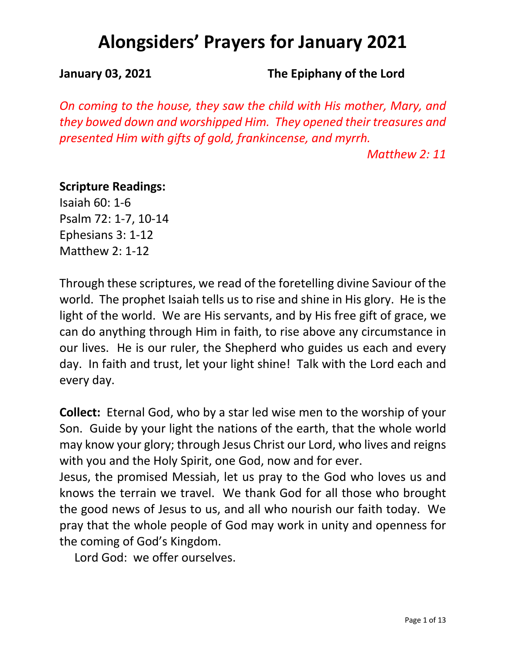**January 03, 2021 The Epiphany of the Lord**

*On coming to the house, they saw the child with His mother, Mary, and they bowed down and worshipped Him. They opened their treasures and presented Him with gifts of gold, frankincense, and myrrh.*

*Matthew 2: 11*

### **Scripture Readings:**

Isaiah 60: 1-6 Psalm 72: 1-7, 10-14 Ephesians 3: 1-12 Matthew 2: 1-12

Through these scriptures, we read of the foretelling divine Saviour of the world. The prophet Isaiah tells us to rise and shine in His glory. He is the light of the world. We are His servants, and by His free gift of grace, we can do anything through Him in faith, to rise above any circumstance in our lives. He is our ruler, the Shepherd who guides us each and every day. In faith and trust, let your light shine! Talk with the Lord each and every day.

**Collect:** Eternal God, who by a star led wise men to the worship of your Son. Guide by your light the nations of the earth, that the whole world may know your glory; through Jesus Christ our Lord, who lives and reigns with you and the Holy Spirit, one God, now and for ever.

Jesus, the promised Messiah, let us pray to the God who loves us and knows the terrain we travel. We thank God for all those who brought the good news of Jesus to us, and all who nourish our faith today. We pray that the whole people of God may work in unity and openness for the coming of God's Kingdom.

Lord God: we offer ourselves.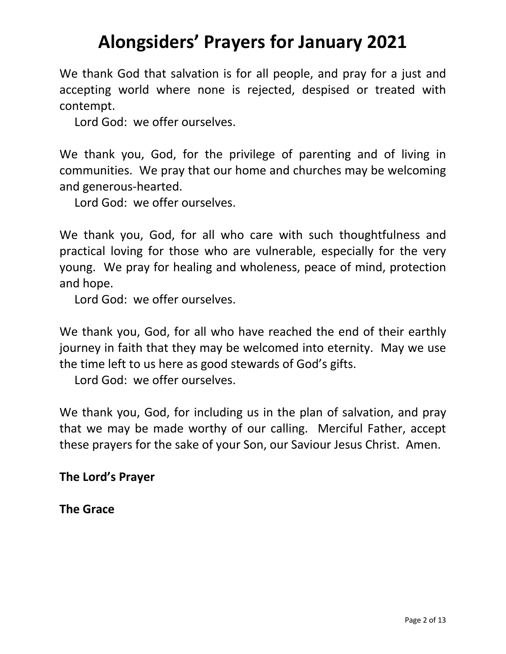We thank God that salvation is for all people, and pray for a just and accepting world where none is rejected, despised or treated with contempt.

Lord God: we offer ourselves.

We thank you, God, for the privilege of parenting and of living in communities. We pray that our home and churches may be welcoming and generous-hearted.

Lord God: we offer ourselves.

We thank you, God, for all who care with such thoughtfulness and practical loving for those who are vulnerable, especially for the very young. We pray for healing and wholeness, peace of mind, protection and hope.

Lord God: we offer ourselves.

We thank you, God, for all who have reached the end of their earthly journey in faith that they may be welcomed into eternity. May we use the time left to us here as good stewards of God's gifts.

Lord God: we offer ourselves.

We thank you, God, for including us in the plan of salvation, and pray that we may be made worthy of our calling. Merciful Father, accept these prayers for the sake of your Son, our Saviour Jesus Christ. Amen.

### **The Lord's Prayer**

**The Grace**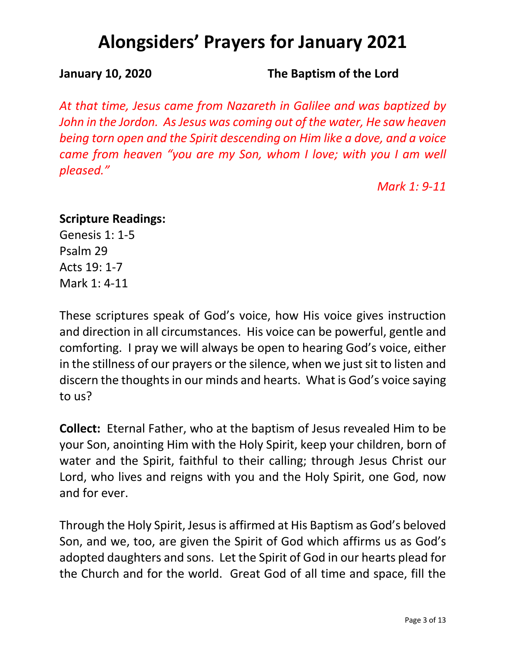**January 10, 2020 The Baptism of the Lord**

*At that time, Jesus came from Nazareth in Galilee and was baptized by John in the Jordon. As Jesus was coming out of the water, He saw heaven being torn open and the Spirit descending on Him like a dove, and a voice came from heaven "you are my Son, whom I love; with you I am well pleased."*

*Mark 1: 9-11*

### **Scripture Readings:**

Genesis 1: 1-5 Psalm 29 Acts 19: 1-7 Mark 1: 4-11

These scriptures speak of God's voice, how His voice gives instruction and direction in all circumstances. His voice can be powerful, gentle and comforting. I pray we will always be open to hearing God's voice, either in the stillness of our prayers or the silence, when we just sit to listen and discern the thoughts in our minds and hearts. What is God's voice saying to us?

**Collect:** Eternal Father, who at the baptism of Jesus revealed Him to be your Son, anointing Him with the Holy Spirit, keep your children, born of water and the Spirit, faithful to their calling; through Jesus Christ our Lord, who lives and reigns with you and the Holy Spirit, one God, now and for ever.

Through the Holy Spirit, Jesus is affirmed at His Baptism as God's beloved Son, and we, too, are given the Spirit of God which affirms us as God's adopted daughters and sons. Let the Spirit of God in our hearts plead for the Church and for the world. Great God of all time and space, fill the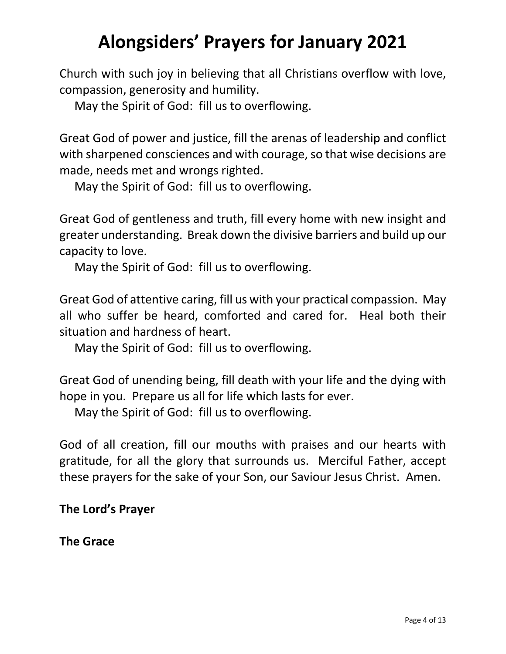Church with such joy in believing that all Christians overflow with love, compassion, generosity and humility.

May the Spirit of God: fill us to overflowing.

Great God of power and justice, fill the arenas of leadership and conflict with sharpened consciences and with courage, so that wise decisions are made, needs met and wrongs righted.

May the Spirit of God: fill us to overflowing.

Great God of gentleness and truth, fill every home with new insight and greater understanding. Break down the divisive barriers and build up our capacity to love.

May the Spirit of God: fill us to overflowing.

Great God of attentive caring, fill us with your practical compassion. May all who suffer be heard, comforted and cared for. Heal both their situation and hardness of heart.

May the Spirit of God: fill us to overflowing.

Great God of unending being, fill death with your life and the dying with hope in you. Prepare us all for life which lasts for ever.

May the Spirit of God: fill us to overflowing.

God of all creation, fill our mouths with praises and our hearts with gratitude, for all the glory that surrounds us. Merciful Father, accept these prayers for the sake of your Son, our Saviour Jesus Christ. Amen.

## **The Lord's Prayer**

**The Grace**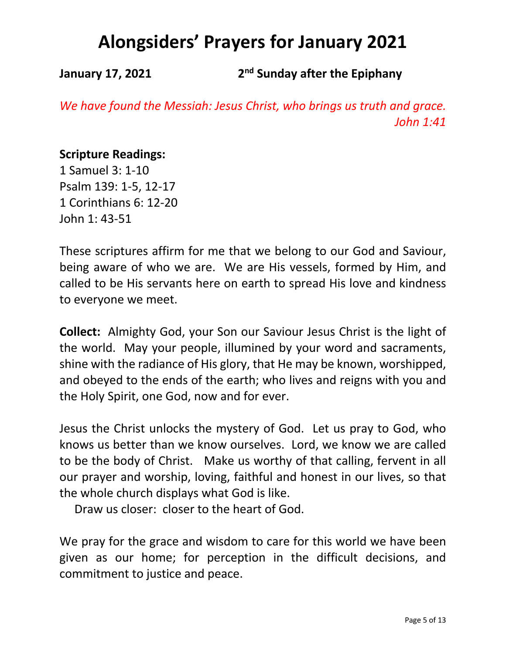**January 17, 2021 2nd Sunday after the Epiphany**

*We have found the Messiah: Jesus Christ, who brings us truth and grace. John 1:41*

### **Scripture Readings:**

1 Samuel 3: 1-10 Psalm 139: 1-5, 12-17 1 Corinthians 6: 12-20 John 1: 43-51

These scriptures affirm for me that we belong to our God and Saviour, being aware of who we are. We are His vessels, formed by Him, and called to be His servants here on earth to spread His love and kindness to everyone we meet.

**Collect:** Almighty God, your Son our Saviour Jesus Christ is the light of the world. May your people, illumined by your word and sacraments, shine with the radiance of His glory, that He may be known, worshipped, and obeyed to the ends of the earth; who lives and reigns with you and the Holy Spirit, one God, now and for ever.

Jesus the Christ unlocks the mystery of God. Let us pray to God, who knows us better than we know ourselves. Lord, we know we are called to be the body of Christ. Make us worthy of that calling, fervent in all our prayer and worship, loving, faithful and honest in our lives, so that the whole church displays what God is like.

Draw us closer: closer to the heart of God.

We pray for the grace and wisdom to care for this world we have been given as our home; for perception in the difficult decisions, and commitment to justice and peace.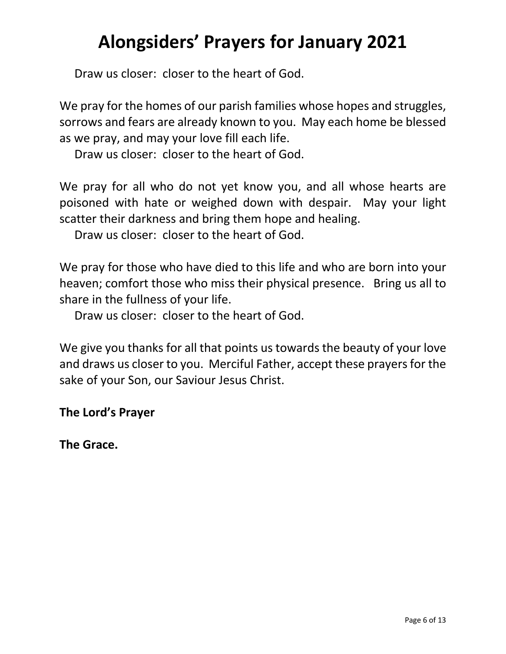Draw us closer: closer to the heart of God.

We pray for the homes of our parish families whose hopes and struggles, sorrows and fears are already known to you. May each home be blessed as we pray, and may your love fill each life.

Draw us closer: closer to the heart of God.

We pray for all who do not yet know you, and all whose hearts are poisoned with hate or weighed down with despair. May your light scatter their darkness and bring them hope and healing.

Draw us closer: closer to the heart of God.

We pray for those who have died to this life and who are born into your heaven; comfort those who miss their physical presence. Bring us all to share in the fullness of your life.

Draw us closer: closer to the heart of God.

We give you thanks for all that points us towards the beauty of your love and draws us closer to you. Merciful Father, accept these prayers for the sake of your Son, our Saviour Jesus Christ.

**The Lord's Prayer**

**The Grace.**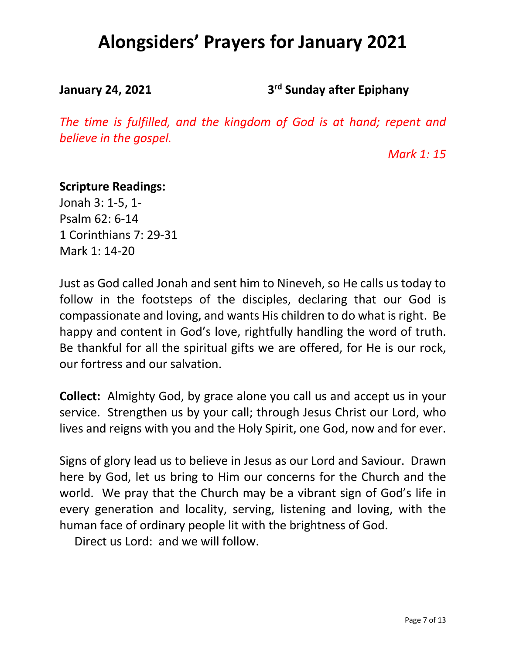**January 24, 2021 3rd Sunday after Epiphany**

*The time is fulfilled, and the kingdom of God is at hand; repent and believe in the gospel.*

*Mark 1: 15*

### **Scripture Readings:**

Jonah 3: 1-5, 1- Psalm 62: 6-14 1 Corinthians 7: 29-31 Mark 1: 14-20

Just as God called Jonah and sent him to Nineveh, so He calls us today to follow in the footsteps of the disciples, declaring that our God is compassionate and loving, and wants His children to do what is right. Be happy and content in God's love, rightfully handling the word of truth. Be thankful for all the spiritual gifts we are offered, for He is our rock, our fortress and our salvation.

**Collect:** Almighty God, by grace alone you call us and accept us in your service. Strengthen us by your call; through Jesus Christ our Lord, who lives and reigns with you and the Holy Spirit, one God, now and for ever.

Signs of glory lead us to believe in Jesus as our Lord and Saviour. Drawn here by God, let us bring to Him our concerns for the Church and the world. We pray that the Church may be a vibrant sign of God's life in every generation and locality, serving, listening and loving, with the human face of ordinary people lit with the brightness of God.

Direct us Lord: and we will follow.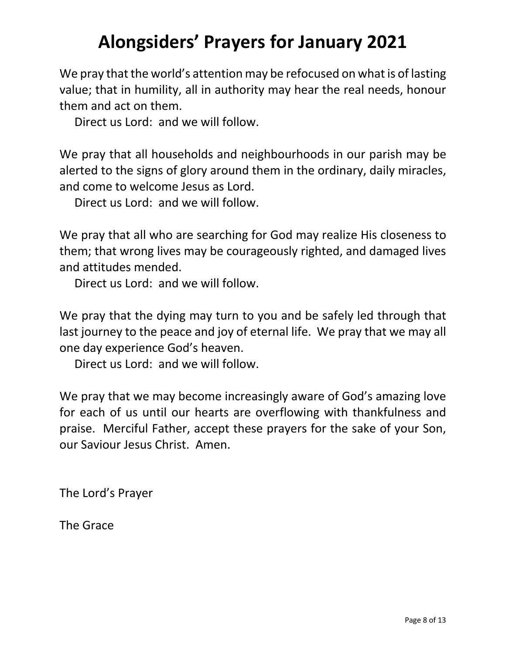We pray that the world's attention may be refocused on what is of lasting value; that in humility, all in authority may hear the real needs, honour them and act on them.

Direct us Lord: and we will follow.

We pray that all households and neighbourhoods in our parish may be alerted to the signs of glory around them in the ordinary, daily miracles, and come to welcome Jesus as Lord.

Direct us Lord: and we will follow.

We pray that all who are searching for God may realize His closeness to them; that wrong lives may be courageously righted, and damaged lives and attitudes mended.

Direct us Lord: and we will follow.

We pray that the dying may turn to you and be safely led through that last journey to the peace and joy of eternal life. We pray that we may all one day experience God's heaven.

Direct us Lord: and we will follow.

We pray that we may become increasingly aware of God's amazing love for each of us until our hearts are overflowing with thankfulness and praise. Merciful Father, accept these prayers for the sake of your Son, our Saviour Jesus Christ. Amen.

The Lord's Prayer

The Grace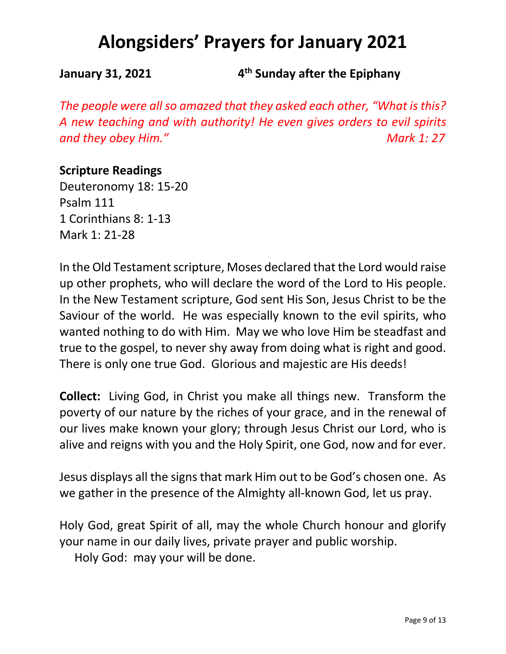**January 31, 2021 4th Sunday after the Epiphany**

*The people were all so amazed that they asked each other, "What is this? A new teaching and with authority! He even gives orders to evil spirits and they obey Him." Mark 1: 27*

## **Scripture Readings**

Deuteronomy 18: 15-20 Psalm 111 1 Corinthians 8: 1-13 Mark 1: 21-28

In the Old Testament scripture, Moses declared that the Lord would raise up other prophets, who will declare the word of the Lord to His people. In the New Testament scripture, God sent His Son, Jesus Christ to be the Saviour of the world. He was especially known to the evil spirits, who wanted nothing to do with Him. May we who love Him be steadfast and true to the gospel, to never shy away from doing what is right and good. There is only one true God. Glorious and majestic are His deeds!

**Collect:** Living God, in Christ you make all things new. Transform the poverty of our nature by the riches of your grace, and in the renewal of our lives make known your glory; through Jesus Christ our Lord, who is alive and reigns with you and the Holy Spirit, one God, now and for ever.

Jesus displays all the signs that mark Him out to be God's chosen one. As we gather in the presence of the Almighty all-known God, let us pray.

Holy God, great Spirit of all, may the whole Church honour and glorify your name in our daily lives, private prayer and public worship. Holy God: may your will be done.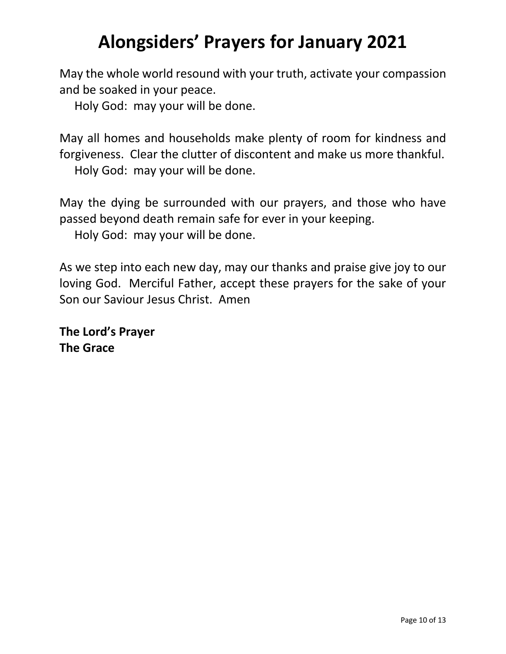May the whole world resound with your truth, activate your compassion and be soaked in your peace.

Holy God: may your will be done.

May all homes and households make plenty of room for kindness and forgiveness. Clear the clutter of discontent and make us more thankful. Holy God: may your will be done.

May the dying be surrounded with our prayers, and those who have passed beyond death remain safe for ever in your keeping.

Holy God: may your will be done.

As we step into each new day, may our thanks and praise give joy to our loving God. Merciful Father, accept these prayers for the sake of your Son our Saviour Jesus Christ. Amen

**The Lord's Prayer The Grace**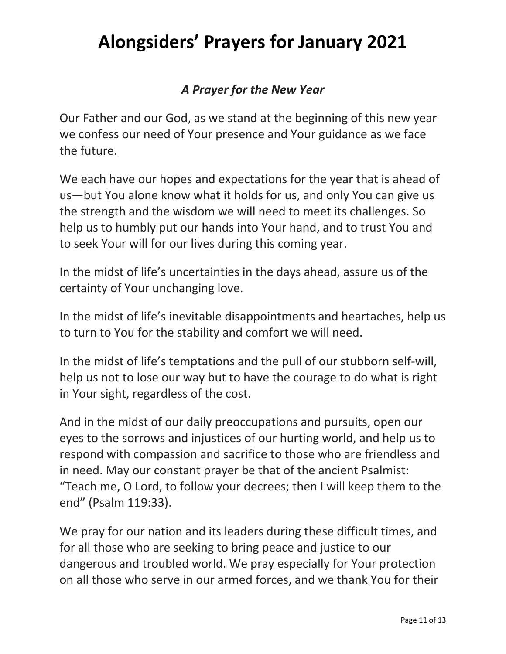## *A Prayer for the New Year*

Our Father and our God, as we stand at the beginning of this new year we confess our need of Your presence and Your guidance as we face the future.

We each have our hopes and expectations for the year that is ahead of us—but You alone know what it holds for us, and only You can give us the strength and the wisdom we will need to meet its challenges. So help us to humbly put our hands into Your hand, and to trust You and to seek Your will for our lives during this coming year.

In the midst of life's uncertainties in the days ahead, assure us of the certainty of Your unchanging love.

In the midst of life's inevitable disappointments and heartaches, help us to turn to You for the stability and comfort we will need.

In the midst of life's temptations and the pull of our stubborn self-will, help us not to lose our way but to have the courage to do what is right in Your sight, regardless of the cost.

And in the midst of our daily preoccupations and pursuits, open our eyes to the sorrows and injustices of our hurting world, and help us to respond with compassion and sacrifice to those who are friendless and in need. May our constant prayer be that of the ancient Psalmist: "Teach me, O Lord, to follow your decrees; then I will keep them to the end" (Psalm 119:33).

We pray for our nation and its leaders during these difficult times, and for all those who are seeking to bring peace and justice to our dangerous and troubled world. We pray especially for Your protection on all those who serve in our armed forces, and we thank You for their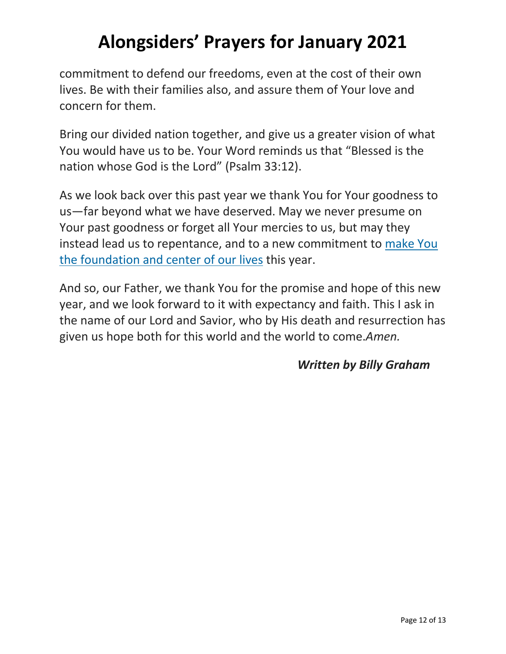commitment to defend our freedoms, even at the cost of their own lives. Be with their families also, and assure them of Your love and concern for them.

Bring our divided nation together, and give us a greater vision of what You would have us to be. Your Word reminds us that "Blessed is the nation whose God is the Lord" (Psalm 33:12).

As we look back over this past year we thank You for Your goodness to us—far beyond what we have deserved. May we never presume on Your past goodness or forget all Your mercies to us, but may they instead lead us to repentance, and to a new commitment to make You the foundation and center of our lives this year.

And so, our Father, we thank You for the promise and hope of this new year, and we look forward to it with expectancy and faith. This I ask in the name of our Lord and Savior, who by His death and resurrection has given us hope both for this world and the world to come.*Amen.*

## *Written by Billy Graham*